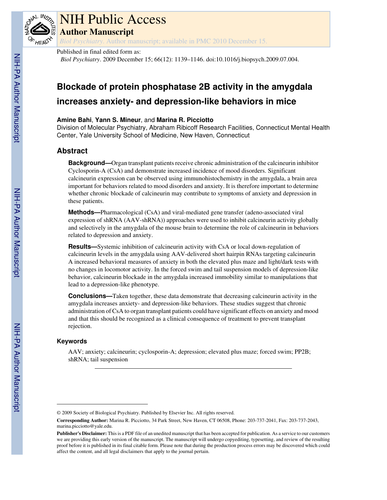

# NIH Public Access

**Author Manuscript**

*Biol Psychiatry*. Author manuscript; available in PMC 2010 December 15.

## Published in final edited form as:

*Biol Psychiatry*. 2009 December 15; 66(12): 1139–1146. doi:10.1016/j.biopsych.2009.07.004.

## **Blockade of protein phosphatase 2B activity in the amygdala increases anxiety- and depression-like behaviors in mice**

## **Amine Bahi**, **Yann S. Mineur**, and **Marina R. Picciotto**

Division of Molecular Psychiatry, Abraham Ribicoff Research Facilities, Connecticut Mental Health Center, Yale University School of Medicine, New Haven, Connecticut

## **Abstract**

**Background—**Organ transplant patients receive chronic administration of the calcineurin inhibitor Cyclosporin-A (CsA) and demonstrate increased incidence of mood disorders. Significant calcineurin expression can be observed using immunohistochemistry in the amygdala, a brain area important for behaviors related to mood disorders and anxiety. It is therefore important to determine whether chronic blockade of calcineurin may contribute to symptoms of anxiety and depression in these patients.

**Methods—**Pharmacological (CsA) and viral-mediated gene transfer (adeno-associated viral expression of shRNA (AAV-shRNA)) approaches were used to inhibit calcineurin activity globally and selectively in the amygdala of the mouse brain to determine the role of calcineurin in behaviors related to depression and anxiety.

**Results—**Systemic inhibition of calcineurin activity with CsA or local down-regulation of calcineurin levels in the amygdala using AAV-delivered short hairpin RNAs targeting calcineurin A increased behavioral measures of anxiety in both the elevated plus maze and light/dark tests with no changes in locomotor activity. In the forced swim and tail suspension models of depression-like behavior, calcineurin blockade in the amygdala increased immobility similar to manipulations that lead to a depression-like phenotype.

**Conclusions—**Taken together, these data demonstrate that decreasing calcineurin activity in the amygdala increases anxiety- and depression-like behaviors. These studies suggest that chronic administration of CsA to organ transplant patients could have significant effects on anxiety and mood and that this should be recognized as a clinical consequence of treatment to prevent transplant rejection.

## **Keywords**

AAV; anxiety; calcineurin; cyclosporin-A; depression; elevated plus maze; forced swim; PP2B; shRNA; tail suspension

<sup>© 2009</sup> Society of Biological Psychiatry. Published by Elsevier Inc. All rights reserved.

**Corresponding Author:** Marina R. Picciotto, 34 Park Street, New Haven, CT 06508, Phone: 203-737-2041, Fax: 203-737-2043, marina.picciotto@yale.edu.

**Publisher's Disclaimer:** This is a PDF file of an unedited manuscript that has been accepted for publication. As a service to our customers we are providing this early version of the manuscript. The manuscript will undergo copyediting, typesetting, and review of the resulting proof before it is published in its final citable form. Please note that during the production process errors may be discovered which could affect the content, and all legal disclaimers that apply to the journal pertain.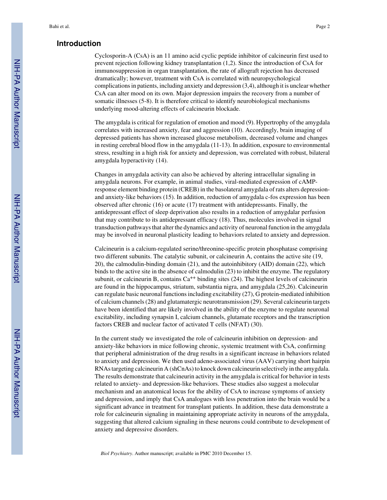## **Introduction**

Cyclosporin-A (CsA) is an 11 amino acid cyclic peptide inhibitor of calcineurin first used to prevent rejection following kidney transplantation (1,2). Since the introduction of CsA for immunosuppression in organ transplantation, the rate of allograft rejection has decreased dramatically; however, treatment with CsA is correlated with neuropsychological complications in patients, including anxiety and depression (3,4), although it is unclear whether CsA can alter mood on its own. Major depression impairs the recovery from a number of somatic illnesses (5-8). It is therefore critical to identify neurobiological mechanisms underlying mood-altering effects of calcineurin blockade.

The amygdala is critical for regulation of emotion and mood (9). Hypertrophy of the amygdala correlates with increased anxiety, fear and aggression (10). Accordingly, brain imaging of depressed patients has shown increased glucose metabolism, decreased volume and changes in resting cerebral blood flow in the amygdala (11-13). In addition, exposure to environmental stress, resulting in a high risk for anxiety and depression, was correlated with robust, bilateral amygdala hyperactivity (14).

Changes in amygdala activity can also be achieved by altering intracellular signaling in amygdala neurons. For example, in animal studies, viral-mediated expression of cAMPresponse element binding protein (CREB) in the basolateral amygdala of rats alters depressionand anxiety-like behaviors (15). In addition, reduction of amygdala c-fos expression has been observed after chronic (16) or acute (17) treatment with antidepressants. Finally, the antidepressant effect of sleep deprivation also results in a reduction of amygdalar perfusion that may contribute to its antidepressant efficacy (18). Thus, molecules involved in signal transduction pathways that alter the dynamics and activity of neuronal function in the amygdala may be involved in neuronal plasticity leading to behaviors related to anxiety and depression.

Calcineurin is a calcium-regulated serine/threonine-specific protein phosphatase comprising two different subunits. The catalytic subunit, or calcineurin A, contains the active site (19, 20), the calmodulin-binding domain (21), and the autoinhibitory (AID) domain (22), which binds to the active site in the absence of calmodulin (23) to inhibit the enzyme. The regulatory subunit, or calcineurin B, contains  $Ca^{++}$  binding sites (24). The highest levels of calcineurin are found in the hippocampus, striatum, substantia nigra, and amygdala (25,26). Calcineurin can regulate basic neuronal functions including excitability (27), G protein-mediated inhibition of calcium channels (28) and glutamatergic neurotransmission (29). Several calcineurin targets have been identified that are likely involved in the ability of the enzyme to regulate neuronal excitability, including synapsin I, calcium channels, glutamate receptors and the transcription factors CREB and nuclear factor of activated T cells (NFAT) (30).

In the current study we investigated the role of calcineurin inhibition on depression- and anxiety-like behaviors in mice following chronic, systemic treatment with CsA, confirming that peripheral administration of the drug results in a significant increase in behaviors related to anxiety and depression. We then used adeno-associated virus (AAV) carrying short hairpin RNAs targeting calcineurin A (shCnAs) to knock down calcineurin selectively in the amygdala. The results demonstrate that calcineurin activity in the amygdala is critical for behavior in tests related to anxiety- and depression-like behaviors. These studies also suggest a molecular mechanism and an anatomical locus for the ability of CsA to increase symptoms of anxiety and depression, and imply that CsA analogues with less penetration into the brain would be a significant advance in treatment for transplant patients. In addition, these data demonstrate a role for calcineurin signaling in maintaining appropriate activity in neurons of the amygdala, suggesting that altered calcium signaling in these neurons could contribute to development of anxiety and depressive disorders.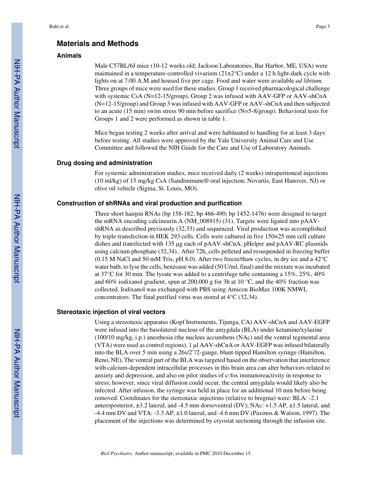## **Materials and Methods**

## **Animals**

Male C57BL/6J mice (10-12 weeks old; Jackson Laboratories, Bar Harbor, ME, USA) were maintained in a temperature-controlled vivarium  $(21\pm2\degree C)$  under a 12 h light-dark cycle with lights on at 7:00 A.M and housed five per cage. Food and water were available *ad libitum*. Three groups of mice were used for these studies. Group 1 received pharmacological challenge with systemic CsA (N=12-15/group), Group 2 was infused with AAV-GFP or AAV-shCnA (N=12-15/group) and Group 3 was infused with AAV-GFP or AAV-shCnA and then subjected to an acute (15 min) swim stress 90 min before sacrifice (N=5-8/group). Behavioral tests for Groups 1 and 2 were performed as shown in table 1.

Mice began testing 2 weeks after arrival and were habituated to handling for at least 3 days before testing. All studies were approved by the Yale University Animal Care and Use Committee and followed the NIH Guide for the Care and Use of Laboratory Animals.

#### **Drug dosing and administration**

For systemic administration studies, mice received daily (2 weeks) intraperitoneal injections (10 ml/kg) of 15 mg/kg CsA (Sandimmune® oral injection; Novartis, East Hanover, NJ) or olive oil vehicle (Sigma, St. Louis, MO).

#### **Construction of shRNAs and viral production and purification**

Three short hairpin RNAs (bp 158-182; bp 466-490; bp 1452-1476) were designed to target the mRNA encoding calcineurin A (NM\_008915) (31). Targets were ligated into pAAVshRNA as described previously (32,33) and sequenced. Viral production was accomplished by triple-transfection in HEK 293 cells. Cells were cultured in five 150×25 mm cell culture dishes and transfected with 135 μg each of pAAV-shCnA, pHelper and pAAV-RC plasmids using calcium phosphate (32,34).. After 72h, cells pelleted and resuspended in freezing buffer (0.15 M NaCl and 50 mM Tris, pH 8.0). After two freeze/thaw cycles, in dry ice and a 42°C water bath, to lyse the cells, benzoase was added (50 U/ml, final) and the mixture was incubated at 37°C for 30 min. The lysate was added to a centrifuge tube containing a 15%, 25%, 40% and 60% iodixanol gradient, spun at 200,000 g for 3h at 10  $^{\circ}$ C, and the 40% fraction was collected. Iodixanol was exchanged with PBS using Amicon BioMax 100K NMWL concentrators. The final purified virus was stored at 4°C (32,34).

#### **Stereotaxic injection of viral vectors**

Using a stereotaxic apparatus (Kopf Instruments, Tijunga, CA) AAV-shCnA and AAV-EGFP were infused into the basolateral nucleus of the amygdala (BLA) under ketamine/xylazine (100/10 mg/kg, i.p.) anesthesia (the nucleus accumbens (NAc) and the ventral tegmental area (VTA) were used as control regions). 1 μl AAV-shCnA or AAV-EGFP was infused bilaterally into the BLA over 5 min using a 26s/2"/2-gauge, blunt-tipped Hamilton syringe (Hamilton, Reno, NE). The ventral part of the BLA was targeted based on the observation that interference with calcium-dependent intracellular processes in this brain area can alter behaviors related to anxiety and depression, and also on pilot studies of c-fos immunoreactivity in response to stress; however, since viral diffusion could occur, the central amygdala would likely also be infected. After infusion, the syringe was held in place for an additional 10 min before being removed. Coordinates for the stereotaxic injections (relative to bregma) were: BLA: -2.1 anteroposterior, ±3.2 lateral, and -4.5 mm dorsoventral (DV); NAc: +1.5 AP, ±1.5 lateral, and -4.4 mm DV and VTA: -3.3 AP, ±1.0 lateral, and -4.6 mm DV (Paxinos & Watson, 1997). The placement of the injections was determined by cryostat sectioning through the infusion site.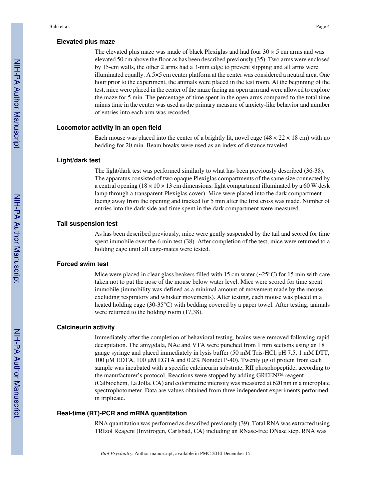#### **Elevated plus maze**

The elevated plus maze was made of black Plexiglas and had four  $30 \times 5$  cm arms and was elevated 50 cm above the floor as has been described previously (35). Two arms were enclosed by 15-cm walls, the other 2 arms had a 3-mm edge to prevent slipping and all arms were illuminated equally. A 5×5 cm center platform at the center was considered a neutral area. One hour prior to the experiment, the animals were placed in the test room. At the beginning of the test, mice were placed in the center of the maze facing an open arm and were allowed to explore the maze for 5 min. The percentage of time spent in the open arms compared to the total time minus time in the center was used as the primary measure of anxiety-like behavior and number of entries into each arm was recorded.

#### **Locomotor activity in an open field**

Each mouse was placed into the center of a brightly lit, novel cage  $(48 \times 22 \times 18 \text{ cm})$  with no bedding for 20 min. Beam breaks were used as an index of distance traveled.

#### **Light/dark test**

The light/dark test was performed similarly to what has been previously described (36-38). The apparatus consisted of two opaque Plexiglas compartments of the same size connected by a central opening ( $18 \times 10 \times 13$  cm dimensions: light compartment illuminated by a 60 W desk lamp through a transparent Plexiglas cover). Mice were placed into the dark compartment facing away from the opening and tracked for 5 min after the first cross was made. Number of entries into the dark side and time spent in the dark compartment were measured.

#### **Tail suspension test**

As has been described previously, mice were gently suspended by the tail and scored for time spent immobile over the 6 min test (38). After completion of the test, mice were returned to a holding cage until all cage-mates were tested.

#### **Forced swim test**

Mice were placed in clear glass beakers filled with 15 cm water  $\left(\sim 25\degree C\right)$  for 15 min with care taken not to put the nose of the mouse below water level. Mice were scored for time spent immobile (immobility was defined as a minimal amount of movement made by the mouse excluding respiratory and whisker movements). After testing, each mouse was placed in a heated holding cage (30-35°C) with bedding covered by a paper towel. After testing, animals were returned to the holding room (17,38).

#### **Calcineurin activity**

Immediately after the completion of behavioral testing, brains were removed following rapid decapitation. The amygdala, NAc and VTA were punched from 1 mm sections using an 18 gauge syringe and placed immediately in lysis buffer (50 mM Tris-HCl, pH 7.5, 1 mM DTT, 100 μM EDTA, 100 μM EGTA and 0.2% Nonidet P-40). Twenty μg of protein from each sample was incubated with a specific calcineurin substrate, RII phosphopeptide, according to the manufacturer's protocol. Reactions were stopped by adding GREEN™ reagent (Calbiochem, La Jolla, CA) and colorimetric intensity was measured at 620 nm in a microplate spectrophotometer. Data are values obtained from three independent experiments performed in triplicate.

#### **Real-time (RT)-PCR and mRNA quantitation**

RNA quantitation was performed as described previously (39). Total RNA was extracted using TRIzol Reagent (Invitrogen, Carlsbad, CA) including an RNase-free DNase step. RNA was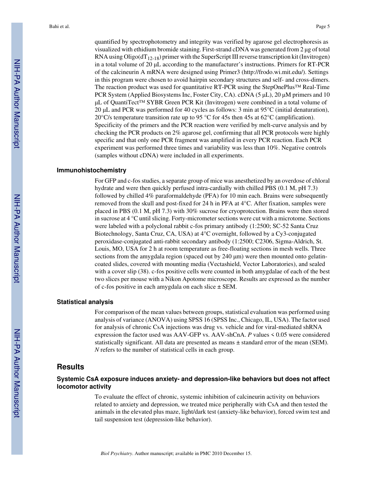quantified by spectrophotometry and integrity was verified by agarose gel electrophoresis as visualized with ethidium bromide staining. First-strand cDNA was generated from 2 μg of total RNA using  $Oligo(dT<sub>12-18</sub>)$  primer with the SuperScript III reverse transcription kit (Invitrogen) in a total volume of 20 μL according to the manufacturer's instructions. Primers for RT-PCR of the calcineurin A mRNA were designed using Primer3 (http://frodo.wi.mit.edu/). Settings in this program were chosen to avoid hairpin secondary structures and self- and cross-dimers. The reaction product was used for quantitative RT-PCR using the StepOnePlus™ Real-Time PCR System (Applied Biosystems Inc, Foster City, CA). cDNA (5 μL), 20 μM primers and 10 μL of QuantiTect™ SYBR Green PCR Kit (Invitrogen) were combined in a total volume of 20 μL and PCR was performed for 40 cycles as follows: 3 min at 95°C (initial denaturation), 20°C/s temperature transition rate up to 95 °C for 45s then 45s at 62°C (amplification). Specificity of the primers and the PCR reaction were verified by melt-curve analysis and by checking the PCR products on 2% agarose gel, confirming that all PCR protocols were highly specific and that only one PCR fragment was amplified in every PCR reaction. Each PCR experiment was performed three times and variability was less than 10%. Negative controls (samples without cDNA) were included in all experiments.

#### **Immunohistochemistry**

For GFP and c-fos studies, a separate group of mice was anesthetized by an overdose of chloral hydrate and were then quickly perfused intra-cardially with chilled PBS (0.1 M, pH 7.3) followed by chilled 4% paraformaldehyde (PFA) for 10 min each. Brains were subsequently removed from the skull and post-fixed for 24 h in PFA at 4°C. After fixation, samples were placed in PBS (0.1 M, pH 7.3) with 30% sucrose for cryoprotection. Brains were then stored in sucrose at 4 °C until slicing. Forty-micrometer sections were cut with a microtome. Sections were labeled with a polyclonal rabbit c-fos primary antibody (1:2500; SC-52 Santa Cruz Biotechnology, Santa Cruz, CA, USA) at 4°C overnight, followed by a Cy3-conjugated peroxidase-conjugated anti-rabbit secondary antibody (1:2500; C2306, Sigma-Aldrich, St. Louis, MO, USA for 2 h at room temperature as free-floating sections in mesh wells. Three sections from the amygdala region (spaced out by  $240 \mu m$ ) were then mounted onto gelatincoated slides, covered with mounting media (Vectashield, Vector Laboratories), and sealed with a cover slip (38). c-fos positive cells were counted in both amygdalae of each of the best two slices per mouse with a Nikon Apotome microscope. Results are expressed as the number of c-fos positive in each amygdala on each slice  $\pm$  SEM.

#### **Statistical analysis**

For comparison of the mean values between groups, statistical evaluation was performed using analysis of variance (ANOVA) using SPSS 16 (SPSS Inc., Chicago, IL, USA). The factor used for analysis of chronic CsA injections was drug vs. vehicle and for viral-mediated shRNA expression the factor used was AAV-GFP vs. AAV-shCnA. *P* values < 0.05 were considered statistically significant. All data are presented as means ± standard error of the mean (SEM). *N* refers to the number of statistical cells in each group.

#### **Results**

#### **Systemic CsA exposure induces anxiety- and depression-like behaviors but does not affect locomotor activity**

To evaluate the effect of chronic, systemic inhibition of calcineurin activity on behaviors related to anxiety and depression, we treated mice peripherally with CsA and then tested the animals in the elevated plus maze, light/dark test (anxiety-like behavior), forced swim test and tail suspension test (depression-like behavior).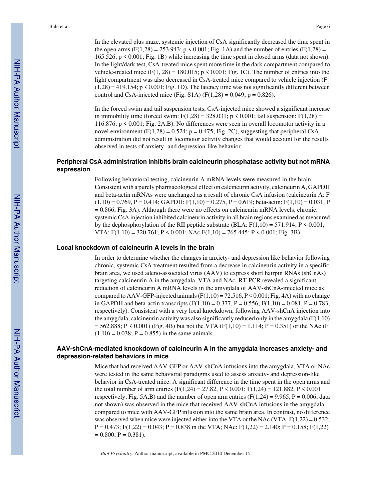In the elevated plus maze, systemic injection of CsA significantly decreased the time spent in the open arms (F(1,28) = 253.943;  $p \le 0.001$ ; Fig. 1A) and the number of entries (F(1,28) = 165.526; p < 0.001; Fig. 1B) while increasing the time spent in closed arms (data not shown). In the light/dark test, CsA-treated mice spent more time in the dark compartment compared to vehicle-treated mice  $(F(1, 28) = 180.015; p \le 0.001; Fig. 1C)$ . The number of entries into the light compartment was also decreased in CsA-treated mice compared to vehicle injection (F  $(1,28) = 419.154$ ;  $p \le 0.001$ ; Fig. 1D). The latency time was not significantly different between control and CsA-injected mice (Fig. S1A)  $(F(1,28) = 0.049; p = 0.826)$ .

In the forced swim and tail suspension tests, CsA-injected mice showed a significant increase in immobility time (forced swim:  $F(1,28) = 328.031$ ; p < 0.001; tail suspension:  $F(1,28) =$ 116.876; p < 0.001; Fig. 2A,B). No differences were seen in overall locomotor activity in a novel environment (F(1,28) = 0.524;  $p = 0.475$ ; Fig. 2C), suggesting that peripheral CsA administration did not result in locomotor activity changes that would account for the results observed in tests of anxiety- and depression-like behavior.

#### **Peripheral CsA administration inhibits brain calcineurin phosphatase activity but not mRNA expression**

Following behavioral testing, calcineurin A mRNA levels were measured in the brain. Consistent with a purely pharmacological effect on calcineurin activity, calcineurin A, GAPDH and beta-actin mRNAs were unchanged as a result of chronic CsA infusion (calcineurin A: F  $(1,10) = 0.769$ , P = 0.414; GAPDH: F(1,10) = 0.275, P = 0.619; beta-actin: F(1,10) = 0.031, P  $= 0.866$ ; Fig. 3A). Although there were no effects on calcineurin mRNA levels, chronic, systemic CsA injection inhibited calcineurin activity in all brain regions examined as measured by the dephosphorylation of the RII peptide substrate (BLA:  $F(1,10) = 571.914$ ;  $P \le 0.001$ , VTA:  $F(1,10) = 320.761$ ;  $P \le 0.001$ ; NAc  $F(1,10) = 765.445$ ;  $P \le 0.001$ ; Fig. 3B).

#### **Local knockdown of calcineurin A levels in the brain**

In order to determine whether the changes in anxiety- and depression like behavior following chronic, systemic CsA treatment resulted from a decrease in calcineurin activity in a specific brain area, we used adeno-associated virus (AAV) to express short hairpin RNAs (shCnAs) targeting calcineurin A in the amygdala, VTA and NAc. RT-PCR revealed a significant reduction of calcineurin A mRNA levels in the amygdala of AAV-shCnA-injected mice as compared to AAV-GFP-injected animals  $(F(1,10) = 72.516, P \le 0.001; Fig. 4A)$  with no change in GAPDH and beta-actin transcripts  $(F(1,10) = 0.377, P = 0.556; F(1,10) = 0.081, P = 0.783$ , respectively). Consistent with a very local knockdown, following AAV-shCnA injection into the amygdala, calcineurin activity was also significantly reduced only in the amygdala  $(F(1,10))$  $= 562.888$ ; P < 0.001) (Fig. 4B) but not the VTA (F(1,10) = 1.114; P = 0.351) or the NAc (F)  $(1,10) = 0.038$ ; P = 0.855) in the same animals.

## **AAV-shCnA-mediated knockdown of calcineurin A in the amygdala increases anxiety- and depression-related behaviors in mice**

Mice that had received AAV-GFP or AAV-shCnA infusions into the amygdala, VTA or NAc were tested in the same behavioral paradigms used to assess anxiety- and depression-like behavior in CsA-treated mice. A significant difference in the time spent in the open arms and the total number of arm entries (F(1,24) = 27.82, P < 0.001; F(1,24) = 121.882, P < 0.001 respectively; Fig. 5A,B) and the number of open arm entries ( $F(1,24) = 9.965$ ,  $P = 0.006$ ; data not shown) was observed in the mice that received AAV-shCnA infusions in the amygdala compared to mice with AAV-GFP infusion into the same brain area. In contrast, no difference was observed when mice were injected either into the VTA or the NAc (VTA:  $F(1,22) = 0.532$ ;  $P = 0.473$ ;  $F(1,22) = 0.043$ ;  $P = 0.838$  in the VTA; NAc:  $F(1,22) = 2.140$ ;  $P = 0.158$ ;  $F(1,22)$  $= 0.800; P = 0.381.$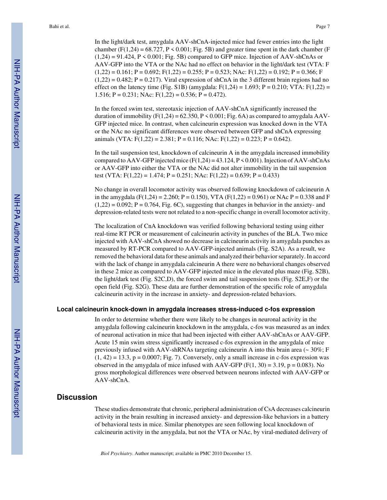In the light/dark test, amygdala AAV-shCnA-injected mice had fewer entries into the light chamber (F(1,24) = 68.727, P < 0.001; Fig. 5B) and greater time spent in the dark chamber (F  $(1,24) = 91.424$ ,  $P \le 0.001$ ; Fig. 5B) compared to GFP mice. Injection of AAV-shCnAs or AAV-GFP into the VTA or the NAc had no effect on behavior in the light/dark test (VTA: F  $(1,22) = 0.161$ ; P = 0.692; F(1,22) = 0.255; P = 0.523; NAc: F(1,22) = 0.192; P = 0.366; F  $(1,22) = 0.482$ ; P = 0.217). Viral expression of shCnA in the 3 different brain regions had no effect on the latency time (Fig. S1B) (amygdala:  $F(1,24) = 1.693$ ;  $P = 0.210$ ; VTA:  $F(1,22) =$ 1.516;  $P = 0.231$ ; NAc:  $F(1,22) = 0.536$ ;  $P = 0.472$ ).

In the forced swim test, stereotaxic injection of AAV-shCnA significantly increased the duration of immobility  $(F(1,24) = 62.350, P \le 0.001$ ; Fig. 6A) as compared to amygdala AAV-GFP injected mice. In contrast, when calcineurin expression was knocked down in the VTA or the NAc no significant differences were observed between GFP and shCnA expressing animals (VTA:  $F(1,22) = 2.381$ ; P = 0.116; NAc:  $F(1,22) = 0.223$ ; P = 0.642).

In the tail suspension test, knockdown of calcineurin A in the amygdala increased immobility compared to AAV-GFP injected mice  $(F(1,24) = 43.124, P \le 0.001)$ . Injection of AAV-shCnAs or AAV-GFP into either the VTA or the NAc did not alter immobility in the tail suspension test (VTA:  $F(1,22) = 1.474$ ;  $P = 0.251$ ; NAc:  $F(1,22) = 0.639$ ;  $P = 0.433$ )

No change in overall locomotor activity was observed following knockdown of calcineurin A in the amygdala (F(1,24) = 2.260; P = 0.150), VTA (F(1,22) = 0.961) or NAc P = 0.338 and F  $(1,22) = 0.092$ ; P = 0.764, Fig. 6C), suggesting that changes in behavior in the anxiety- and depression-related tests were not related to a non-specific change in overall locomotor activity.

The localization of CnA knockdown was verified following behavioral testing using either real-time RT PCR or measurement of calcineurin activity in punches of the BLA. Two mice injected with AAV-shCnA showed no decrease in calcineurin activity in amygdala punches as measured by RT-PCR compared to AAV-GFP-injected animals (Fig. S2A). As a result, we removed the behavioral data for these animals and analyzed their behavior separately. In accord with the lack of change in amygdala calcineurin A there were no behavioral changes observed in these 2 mice as compared to AAV-GFP injected mice in the elevated plus maze (Fig. S2B), the light/dark test (Fig. S2C,D), the forced swim and tail suspension tests (Fig. S2E,F) or the open field (Fig. S2G). These data are further demonstration of the specific role of amygdala calcineurin activity in the increase in anxiety- and depression-related behaviors.

#### **Local calcineurin knock-down in amygdala increases stress-induced c-fos expression**

In order to determine whether there were likely to be changes in neuronal activity in the amygdala following calcineurin knockdown in the amygdala, c-fos was measured as an index of neuronal activation in mice that had been injected with either AAV-shCnAs or AAV-GFP. Acute 15 min swim stress significantly increased c-fos expression in the amygdala of mice previously infused with AAV-shRNAs targeting calcineurin A into this brain area ( $\sim 30\%$ ; F  $(1, 42) = 13.3$ ,  $p = 0.0007$ ; Fig. 7). Conversely, only a small increase in c-fos expression was observed in the amygdala of mice infused with AAV-GFP  $(F(1, 30) = 3.19, p = 0.083)$ . No gross morphological differences were observed between neurons infected with AAV-GFP or AAV-shCnA.

## **Discussion**

These studies demonstrate that chronic, peripheral administration of CsA decreases calcineurin activity in the brain resulting in increased anxiety- and depression-like behaviors in a battery of behavioral tests in mice. Similar phenotypes are seen following local knockdown of calcineurin activity in the amygdala, but not the VTA or NAc, by viral-mediated delivery of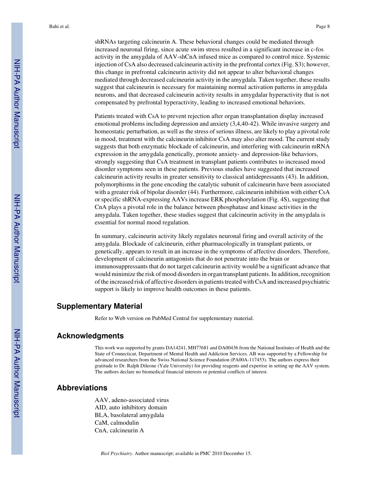shRNAs targeting calcineurin A. These behavioral changes could be mediated through increased neuronal firing, since acute swim stress resulted in a significant increase in c-fos activity in the amygdala of AAV-shCnA infused mice as compared to control mice. Systemic injection of CsA also decreased calcineurin activity in the prefrontal cortex (Fig. S3); however, this change in prefrontal calcineurin activity did not appear to alter behavioral changes mediated through decreased calcineurin activity in the amygdala. Taken together, these results suggest that calcineurin is necessary for maintaining normal activation patterns in amygdala neurons, and that decreased calcineurin activity results in amygdalar hyperactivity that is not compensated by prefrontal hyperactivity, leading to increased emotional behaviors.

Patients treated with CsA to prevent rejection after organ transplantation display increased emotional problems including depression and anxiety (3,4,40-42). While invasive surgery and homeostatic perturbation, as well as the stress of serious illness, are likely to play a pivotal role in mood, treatment with the calcineurin inhibitor CsA may also alter mood. The current study suggests that both enzymatic blockade of calcineurin, and interfering with calcineurin mRNA expression in the amygdala genetically, promote anxiety- and depression-like behaviors, strongly suggesting that CsA treatment in transplant patients contributes to increased mood disorder symptoms seen in these patients. Previous studies have suggested that increased calcineurin activity results in greater sensitivity to classical antidepressants (43). In addition, polymorphisms in the gene encoding the catalytic subunit of calcineurin have been associated with a greater risk of bipolar disorder (44). Furthermore, calcineurin inhibition with either CsA or specific shRNA-expressing AAVs increase ERK phosphorylation (Fig. 4S), suggesting that CnA plays a pivotal role in the balance between phosphatase and kinase activities in the amygdala. Taken together, these studies suggest that calcineurin activity in the amygdala is essential for normal mood regulation.

In summary, calcineurin activity likely regulates neuronal firing and overall activity of the amygdala. Blockade of calcineurin, either pharmacologically in transplant patients, or genetically, appears to result in an increase in the symptoms of affective disorders. Therefore, development of calcineurin antagonists that do not penetrate into the brain or immunosuppressants that do not target calcineurin activity would be a significant advance that would minimize the risk of mood disorders in organ transplant patients. In addition, recognition of the increased risk of affective disorders in patients treated with CsA and increased psychiatric support is likely to improve health outcomes in these patients.

## **Supplementary Material**

Refer to Web version on PubMed Central for supplementary material.

#### **Acknowledgments**

This work was supported by grants DA14241, MH77681 and DA00436 from the National Institutes of Health and the State of Connecticut, Department of Mental Health and Addiction Services. AB was supported by a Fellowship for advanced researchers from the Swiss National Science Foundation (PA00A-117453). The authors express their gratitude to Dr. Ralph Dileone (Yale University) for providing reagents and expertise in setting up the AAV system. The authors declare no biomedical financial interests or potential conflicts of interest.

## **Abbreviations**

AAV, adeno-associated virus AID, auto inhibitory domain BLA, basolateral amygdala CaM, calmodulin CnA, calcineurin A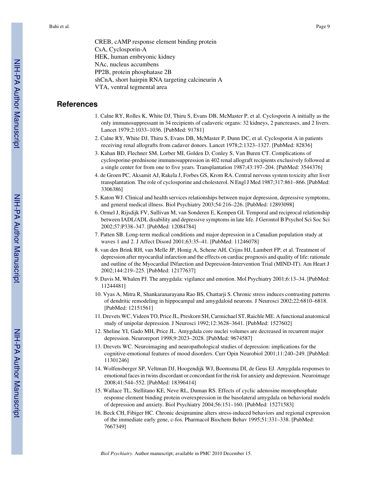CREB, cAMP response element binding protein CsA, Cyclosporin-A HEK, human embryonic kidney NAc, nucleus accumbens PP2B, protein phosphatase 2B shCnA, short hairpin RNA targeting calcineurin A VTA, ventral tegmental area

## **References**

- 1. Calne RY, Rolles K, White DJ, Thiru S, Evans DB, McMaster P, et al. Cyclosporin A initially as the only immunosuppressant in 34 recipients of cadaveric organs: 32 kidneys, 2 pancreases, and 2 livers. Lancet 1979;2:1033–1036. [PubMed: 91781]
- 2. Calne RY, White DJ, Thiru S, Evans DB, McMaster P, Dunn DC, et al. Cyclosporin A in patients receiving renal allografts from cadaver donors. Lancet 1978;2:1323–1327. [PubMed: 82836]
- 3. Kahan BD, Flechner SM, Lorber MI, Golden D, Conley S, Van Buren CT. Complications of cyclosporine-prednisone immunosuppression in 402 renal allograft recipients exclusively followed at a single center for from one to five years. Transplantation 1987;43:197–204. [PubMed: 3544376]
- 4. de Groen PC, Aksamit AJ, Rakela J, Forbes GS, Krom RA. Central nervous system toxicity after liver transplantation. The role of cyclosporine and cholesterol. N Engl J Med 1987;317:861–866. [PubMed: 3306386]
- 5. Katon WJ. Clinical and health services relationships between major depression, depressive symptoms, and general medical illness. Biol Psychiatry 2003;54:216–226. [PubMed: 12893098]
- 6. Ormel J, Rijsdijk FV, Sullivan M, van Sonderen E, Kempen GI. Temporal and reciprocal relationship between IADL/ADL disability and depressive symptoms in late life. J Gerontol B Psychol Sci Soc Sci 2002;57:P338–347. [PubMed: 12084784]
- 7. Patten SB. Long-term medical conditions and major depression in a Canadian population study at waves 1 and 2. J Affect Disord 2001;63:35–41. [PubMed: 11246078]
- 8. van den Brink RH, van Melle JP, Honig A, Schene AH, Crijns HJ, Lambert FP, et al. Treatment of depression after myocardial infarction and the effects on cardiac prognosis and quality of life: rationale and outline of the Myocardial INfarction and Depression-Intervention Trial (MIND-IT). Am Heart J 2002;144:219–225. [PubMed: 12177637]
- 9. Davis M, Whalen PJ. The amygdala: vigilance and emotion. Mol Psychiatry 2001;6:13–34. [PubMed: 11244481]
- 10. Vyas A, Mitra R, Shankaranarayana Rao BS, Chattarji S. Chronic stress induces contrasting patterns of dendritic remodeling in hippocampal and amygdaloid neurons. J Neurosci 2002;22:6810–6818. [PubMed: 12151561]
- 11. Drevets WC, Videen TO, Price JL, Preskorn SH, Carmichael ST, Raichle ME. A functional anatomical study of unipolar depression. J Neurosci 1992;12:3628–3641. [PubMed: 1527602]
- 12. Sheline YI, Gado MH, Price JL. Amygdala core nuclei volumes are decreased in recurrent major depression. Neuroreport 1998;9:2023–2028. [PubMed: 9674587]
- 13. Drevets WC. Neuroimaging and neuropathological studies of depression: implications for the cognitive-emotional features of mood disorders. Curr Opin Neurobiol 2001;11:240–249. [PubMed: 11301246]
- 14. Wolfensberger SP, Veltman DJ, Hoogendijk WJ, Boomsma DI, de Geus EJ. Amygdala responses to emotional faces in twins discordant or concordant for the risk for anxiety and depression. Neuroimage 2008;41:544–552. [PubMed: 18396414]
- 15. Wallace TL, Stellitano KE, Neve RL, Duman RS. Effects of cyclic adenosine monophosphate response element binding protein overexpression in the basolateral amygdala on behavioral models of depression and anxiety. Biol Psychiatry 2004;56:151–160. [PubMed: 15271583]
- 16. Beck CH, Fibiger HC. Chronic desipramine alters stress-induced behaviors and regional expression of the immediate early gene, c-fos. Pharmacol Biochem Behav 1995;51:331–338. [PubMed: 7667349]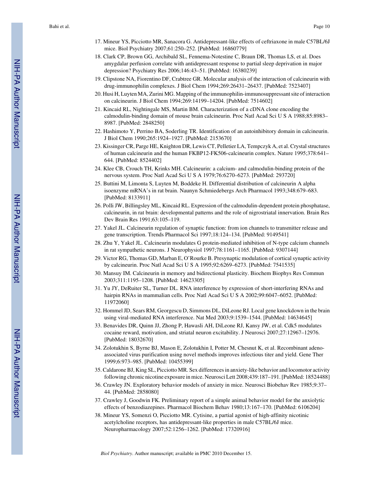- 17. Mineur YS, Picciotto MR, Sanacora G. Antidepressant-like effects of ceftriaxone in male C57BL/6J mice. Biol Psychiatry 2007;61:250–252. [PubMed: 16860779]
- 18. Clark CP, Brown GG, Archibald SL, Fennema-Notestine C, Braun DR, Thomas LS, et al. Does amygdalar perfusion correlate with antidepressant response to partial sleep deprivation in major depression? Psychiatry Res 2006;146:43–51. [PubMed: 16380239]
- 19. Clipstone NA, Fiorentino DF, Crabtree GR. Molecular analysis of the interaction of calcineurin with drug-immunophilin complexes. J Biol Chem 1994;269:26431–26437. [PubMed: 7523407]
- 20. Husi H, Luyten MA, Zurini MG. Mapping of the immunophilin-immunosuppressant site of interaction on calcineurin. J Biol Chem 1994;269:14199–14204. [PubMed: 7514602]
- 21. Kincaid RL, Nightingale MS, Martin BM. Characterization of a cDNA clone encoding the calmodulin-binding domain of mouse brain calcineurin. Proc Natl Acad Sci U S A 1988;85:8983– 8987. [PubMed: 2848250]
- 22. Hashimoto Y, Perrino BA, Soderling TR. Identification of an autoinhibitory domain in calcineurin. J Biol Chem 1990;265:1924–1927. [PubMed: 2153670]
- 23. Kissinger CR, Parge HE, Knighton DR, Lewis CT, Pelletier LA, Tempczyk A, et al. Crystal structures of human calcineurin and the human FKBP12-FK506-calcineurin complex. Nature 1995;378:641– 644. [PubMed: 8524402]
- 24. Klee CB, Crouch TH, Krinks MH. Calcineurin: a calcium- and calmodulin-binding protein of the nervous system. Proc Natl Acad Sci U S A 1979;76:6270–6273. [PubMed: 293720]
- 25. Buttini M, Limonta S, Luyten M, Boddeke H. Differential distribution of calcineurin A alpha isoenzyme mRNA's in rat brain. Naunyn Schmiedebergs Arch Pharmacol 1993;348:679–683. [PubMed: 8133911]
- 26. Polli JW, Billingsley ML, Kincaid RL. Expression of the calmodulin-dependent protein phosphatase, calcineurin, in rat brain: developmental patterns and the role of nigrostriatal innervation. Brain Res Dev Brain Res 1991;63:105–119.
- 27. Yakel JL. Calcineurin regulation of synaptic function: from ion channels to transmitter release and gene transcription. Trends Pharmacol Sci 1997;18:124–134. [PubMed: 9149541]
- 28. Zhu Y, Yakel JL. Calcineurin modulates G protein-mediated inhibition of N-type calcium channels in rat sympathetic neurons. J Neurophysiol 1997;78:1161–1165. [PubMed: 9307144]
- 29. Victor RG, Thomas GD, Marban E, O'Rourke B. Presynaptic modulation of cortical synaptic activity by calcineurin. Proc Natl Acad Sci U S A 1995;92:6269–6273. [PubMed: 7541535]
- 30. Mansuy IM. Calcineurin in memory and bidirectional plasticity. Biochem Biophys Res Commun 2003;311:1195–1208. [PubMed: 14623305]
- 31. Yu JY, DeRuiter SL, Turner DL. RNA interference by expression of short-interfering RNAs and hairpin RNAs in mammalian cells. Proc Natl Acad Sci U S A 2002;99:6047–6052. [PubMed: 11972060]
- 32. Hommel JD, Sears RM, Georgescu D, Simmons DL, DiLeone RJ. Local gene knockdown in the brain using viral-mediated RNA interference. Nat Med 2003;9:1539–1544. [PubMed: 14634645]
- 33. Benavides DR, Quinn JJ, Zhong P, Hawasli AH, DiLeone RJ, Kansy JW, et al. Cdk5 modulates cocaine reward, motivation, and striatal neuron excitability. J Neurosci 2007;27:12967–12976. [PubMed: 18032670]
- 34. Zolotukhin S, Byrne BJ, Mason E, Zolotukhin I, Potter M, Chesnut K, et al. Recombinant adenoassociated virus purification using novel methods improves infectious titer and yield. Gene Ther 1999;6:973–985. [PubMed: 10455399]
- 35. Caldarone BJ, King SL, Picciotto MR. Sex differences in anxiety-like behavior and locomotor activity following chronic nicotine exposure in mice. Neurosci Lett 2008;439:187–191. [PubMed: 18524488]
- 36. Crawley JN. Exploratory behavior models of anxiety in mice. Neurosci Biobehav Rev 1985;9:37– 44. [PubMed: 2858080]
- 37. Crawley J, Goodwin FK. Preliminary report of a simple animal behavior model for the anxiolytic effects of benzodiazepines. Pharmacol Biochem Behav 1980;13:167–170. [PubMed: 6106204]
- 38. Mineur YS, Somenzi O, Picciotto MR. Cytisine, a partial agonist of high-affinity nicotinic acetylcholine receptors, has antidepressant-like properties in male C57BL/6J mice. Neuropharmacology 2007;52:1256–1262. [PubMed: 17320916]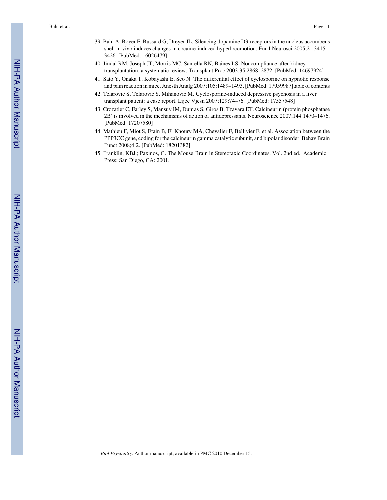- 39. Bahi A, Boyer F, Bussard G, Dreyer JL. Silencing dopamine D3-receptors in the nucleus accumbens shell in vivo induces changes in cocaine-induced hyperlocomotion. Eur J Neurosci 2005;21:3415– 3426. [PubMed: 16026479]
- 40. Jindal RM, Joseph JT, Morris MC, Santella RN, Baines LS. Noncompliance after kidney transplantation: a systematic review. Transplant Proc 2003;35:2868–2872. [PubMed: 14697924]
- 41. Sato Y, Onaka T, Kobayashi E, Seo N. The differential effect of cyclosporine on hypnotic response and pain reaction in mice. Anesth Analg 2007;105:1489–1493. [PubMed: 17959987]table of contents
- 42. Telarovic S, Telarovic S, Mihanovic M. Cyclosporine-induced depressive psychosis in a liver transplant patient: a case report. Lijec Vjesn 2007;129:74–76. [PubMed: 17557548]
- 43. Crozatier C, Farley S, Mansuy IM, Dumas S, Giros B, Tzavara ET. Calcineurin (protein phosphatase 2B) is involved in the mechanisms of action of antidepressants. Neuroscience 2007;144:1470–1476. [PubMed: 17207580]
- 44. Mathieu F, Miot S, Etain B, El Khoury MA, Chevalier F, Bellivier F, et al. Association between the PPP3CC gene, coding for the calcineurin gamma catalytic subunit, and bipolar disorder. Behav Brain Funct 2008;4:2. [PubMed: 18201382]
- 45. Franklin, KBJ.; Paxinos, G. The Mouse Brain in Stereotaxic Coordinates. Vol. 2nd ed.. Academic Press; San Diego, CA: 2001.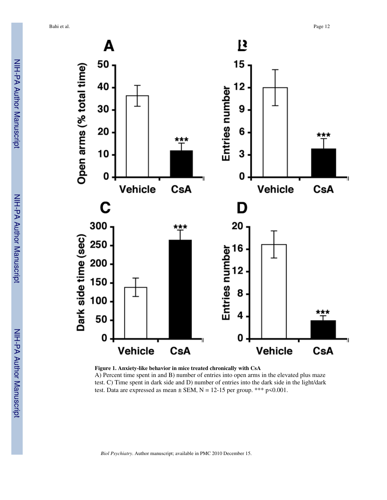

**Figure 1. Anxiety-like behavior in mice treated chronically with CsA** A) Percent time spent in and B) number of entries into open arms in the elevated plus maze test. C) Time spent in dark side and D) number of entries into the dark side in the light/dark test. Data are expressed as mean  $\pm$  SEM, N = 12-15 per group. \*\*\* p<0.001.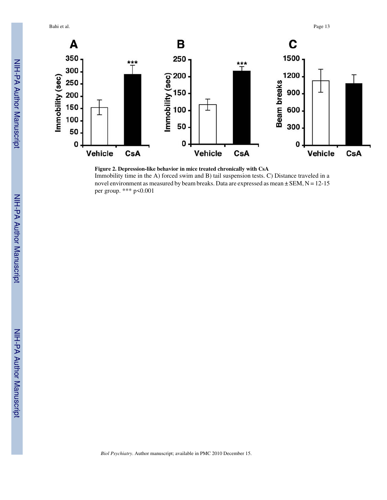Bahi et al. Page 13



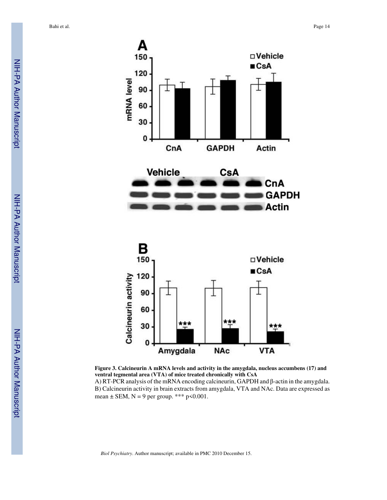

**Figure 3. Calcineurin A mRNA levels and activity in the amygdala, nucleus accumbens (17) and ventral tegmental area (VTA) of mice treated chronically with CsA** A) RT-PCR analysis of the mRNA encoding calcineurin, GAPDH and β-actin in the amygdala.

B) Calcineurin activity in brain extracts from amygdala, VTA and NAc. Data are expressed as mean  $\pm$  SEM, N = 9 per group. \*\*\* p<0.001.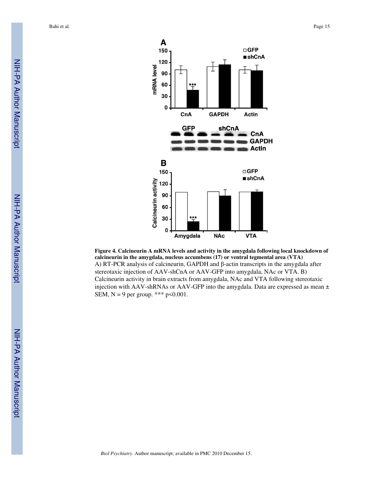

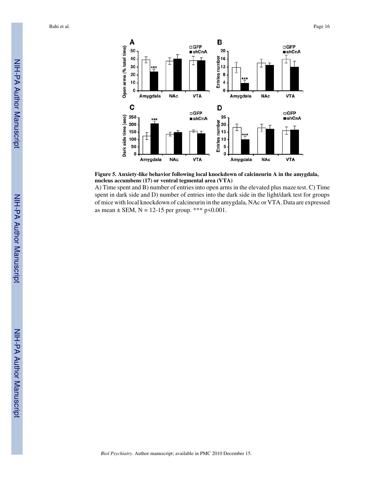

**Figure 5. Anxiety-like behavior following local knockdown of calcineurin A in the amygdala, nucleus accumbens (17) or ventral tegmental area (VTA)**

A) Time spent and B) number of entries into open arms in the elevated plus maze test. C) Time spent in dark side and D) number of entries into the dark side in the light/dark test for groups of mice with local knockdown of calcineurin in the amygdala, NAc or VTA. Data are expressed as mean  $\pm$  SEM, N = 12-15 per group. \*\*\* p<0.001.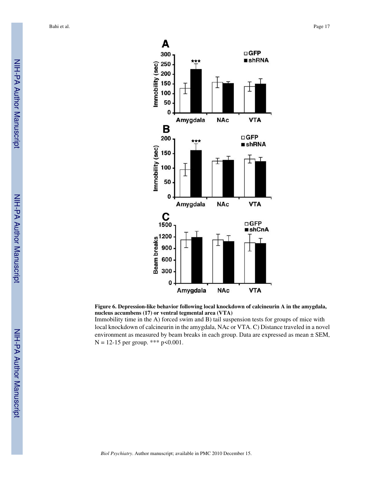

**Figure 6. Depression-like behavior following local knockdown of calcineurin A in the amygdala, nucleus accumbens (17) or ventral tegmental area (VTA)**

Immobility time in the A) forced swim and B) tail suspension tests for groups of mice with local knockdown of calcineurin in the amygdala, NAc or VTA. C) Distance traveled in a novel environment as measured by beam breaks in each group. Data are expressed as mean ± SEM,  $N = 12-15$  per group. \*\*\* p<0.001.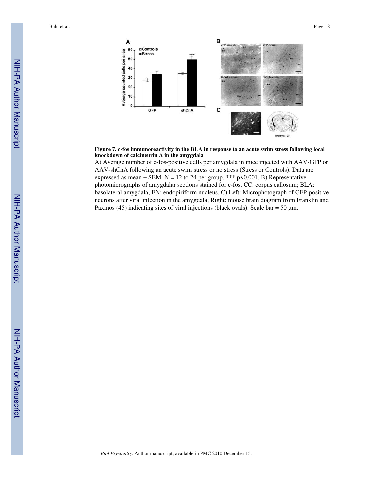

**Figure 7. c-fos immunoreactivity in the BLA in response to an acute swim stress following local knockdown of calcineurin A in the amygdala**

A) Average number of c-fos-positive cells per amygdala in mice injected with AAV-GFP or AAV-shCnA following an acute swim stress or no stress (Stress or Controls). Data are expressed as mean  $\pm$  SEM. N = 12 to 24 per group. \*\*\* p<0.001. B) Representative photomicrographs of amygdalar sections stained for c-fos. CC: corpus callosum; BLA: basolateral amygdala; EN: endopiriform nucleus. C) Left: Microphotograph of GFP-positive neurons after viral infection in the amygdala; Right: mouse brain diagram from Franklin and Paxinos (45) indicating sites of viral injections (black ovals). Scale bar = 50  $\mu$ m.